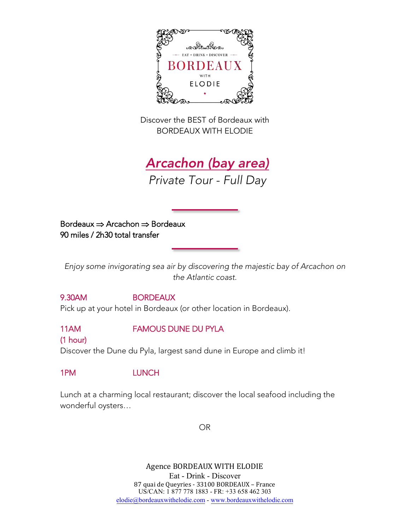

Discover the BEST of Bordeaux with BORDEAUX WITH ELODIE

Arcachon (bay area) *Private Tour - Full Day* 

Bordeaux ⇒ Arcachon ⇒ Bordeaux 90 miles / 2h30 total transfer

*Enjoy some invigorating sea air by discovering the majestic bay of Arcachon on the Atlantic coast.*

### 9.30AM BORDEAUX

Pick up at your hotel in Bordeaux (or other location in Bordeaux).

11AM FAMOUS DUNE DU PYLA

### (1 hour)

Discover the Dune du Pyla, largest sand dune in Europe and climb it!

## 1PM LUNCH

Lunch at a charming local restaurant; discover the local seafood including the wonderful oysters…

OR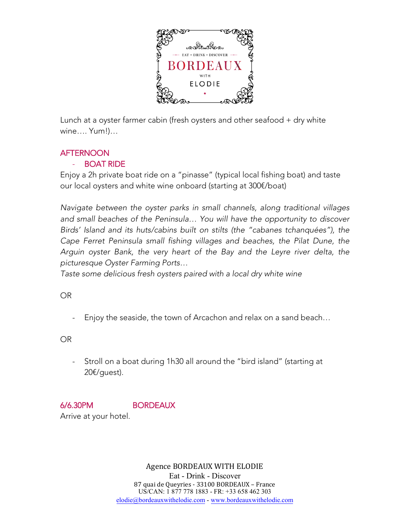

Lunch at a oyster farmer cabin (fresh oysters and other seafood + dry white wine…. Yum!)…

## **AFTERNOON**

## - BOAT RIDE

Enjoy a 2h private boat ride on a "pinasse" (typical local fishing boat) and taste our local oysters and white wine onboard (starting at 300€/boat)

*Navigate between the oyster parks in small channels, along traditional villages and small beaches of the Peninsula… You will have the opportunity to discover Birds' Island and its huts/cabins built on stilts (the "cabanes tchanquées"), the Cape Ferret Peninsula small fishing villages and beaches, the Pilat Dune, the Arguin oyster Bank, the very heart of the Bay and the Leyre river delta, the picturesque Oyster Farming Ports…*

*Taste some delicious fresh oysters paired with a local dry white wine*

OR

Enjoy the seaside, the town of Arcachon and relax on a sand beach...

OR

- Stroll on a boat during 1h30 all around the "bird island" (starting at 20€/guest).

# 6/6.30PM BORDEAUX

Arrive at your hotel.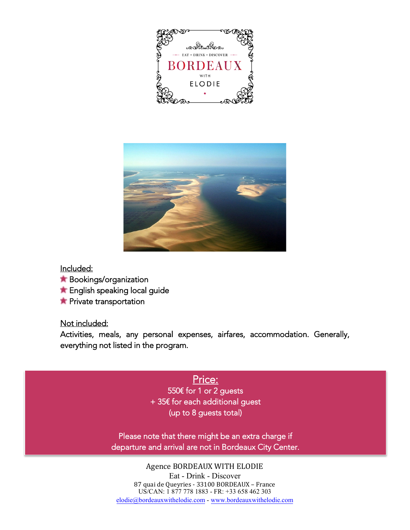



### Included:

- **Bookings/organization**
- **The English speaking local guide**
- **T** Private transportation

#### Not included:

Activities, meals, any personal expenses, airfares, accommodation. Generally, everything not listed in the program.

## Price:

550€ for 1 or 2 guests + 35€ for each additional guest (up to 8 guests total)

Please note that there might be an extra charge if departure and arrival are not in Bordeaux City Center.